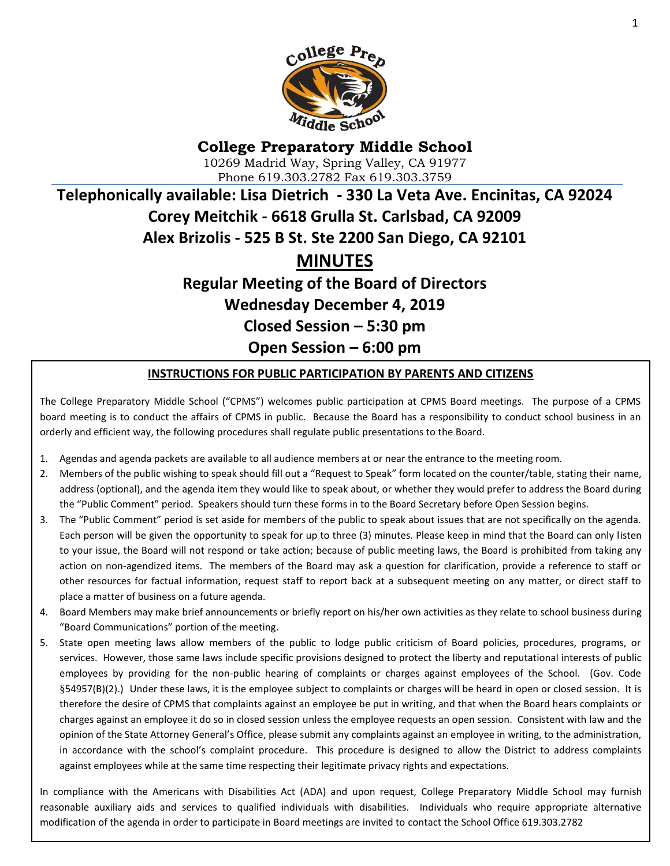

# **College Preparatory Middle School** 10269 Madrid Way, Spring Valley, CA 91977 Phone 619.303.2782 Fax 619.303.3759 **Telephonically available: Lisa Dietrich - 330 La Veta Ave. Encinitas, CA 92024 Corey Meitchik - 6618 Grulla St. Carlsbad, CA 92009 Alex Brizolis - 525 B St. Ste 2200 San Diego, CA 92101 MINUTES Regular Meeting of the Board of Directors**

**Wednesday December 4, 2019 Closed Session – 5:30 pm**

**Open Session – 6:00 pm**

#### **INSTRUCTIONS FOR PUBLIC PARTICIPATION BY PARENTS AND CITIZENS**

The College Preparatory Middle School ("CPMS") welcomes public participation at CPMS Board meetings. The purpose of a CPMS board meeting is to conduct the affairs of CPMS in public. Because the Board has a responsibility to conduct school business in an orderly and efficient way, the following procedures shall regulate public presentations to the Board.

- 1. Agendas and agenda packets are available to all audience members at or near the entrance to the meeting room.
- 2. Members of the public wishing to speak should fill out a "Request to Speak" form located on the counter/table, stating their name, address (optional), and the agenda item they would like to speak about, or whether they would prefer to address the Board during the "Public Comment" period. Speakers should turn these forms in to the Board Secretary before Open Session begins.
- 3. The "Public Comment" period is set aside for members of the public to speak about issues that are not specifically on the agenda. Each person will be given the opportunity to speak for up to three (3) minutes. Please keep in mind that the Board can only listen to your issue, the Board will not respond or take action; because of public meeting laws, the Board is prohibited from taking any action on non-agendized items. The members of the Board may ask a question for clarification, provide a reference to staff or other resources for factual information, request staff to report back at a subsequent meeting on any matter, or direct staff to place a matter of business on a future agenda.
- 4. Board Members may make brief announcements or briefly report on his/her own activities as they relate to school business during "Board Communications" portion of the meeting.
- 5. State open meeting laws allow members of the public to lodge public criticism of Board policies, procedures, programs, or services. However, those same laws include specific provisions designed to protect the liberty and reputational interests of public employees by providing for the non-public hearing of complaints or charges against employees of the School. (Gov. Code §54957(B)(2).) Under these laws, it is the employee subject to complaints or charges will be heard in open or closed session. It is therefore the desire of CPMS that complaints against an employee be put in writing, and that when the Board hears complaints or charges against an employee it do so in closed session unless the employee requests an open session. Consistent with law and the opinion of the State Attorney General's Office, please submit any complaints against an employee in writing, to the administration, in accordance with the school's complaint procedure. This procedure is designed to allow the District to address complaints against employees while at the same time respecting their legitimate privacy rights and expectations.

modification of the agenda in order to participate in Board meetings are invited to contact the School Office 619.303.2782<br>| In compliance with the Americans with Disabilities Act (ADA) and upon request, College Preparatory Middle School may furnish reasonable auxiliary aids and services to qualified individuals with disabilities. Individuals who require appropriate alternative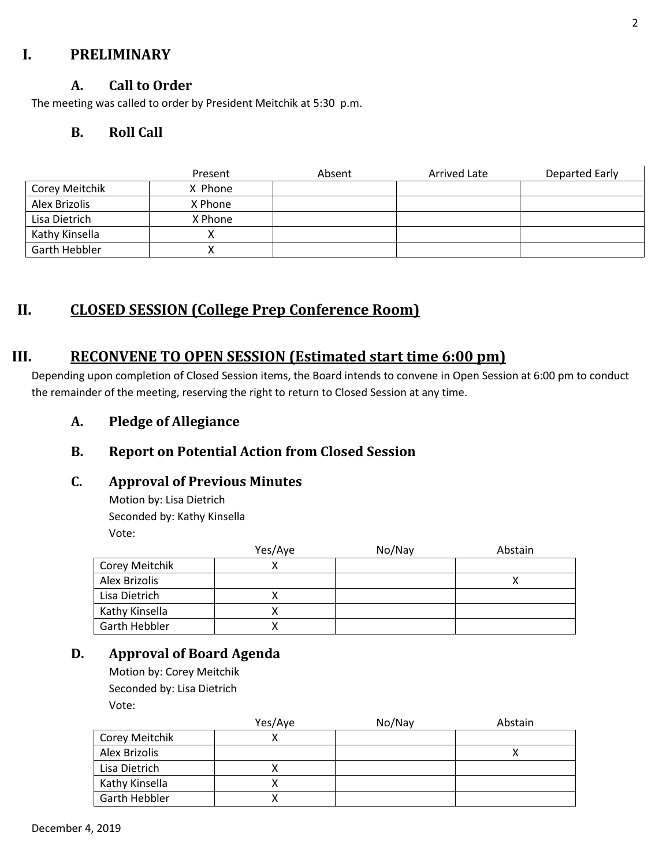## **I. PRELIMINARY**

## **A. Call to Order**

The meeting was called to order by President Meitchik at 5:30 p.m.

## **B. Roll Call**

|                | Present | Absent | Arrived Late | Departed Early |
|----------------|---------|--------|--------------|----------------|
| Corey Meitchik | X Phone |        |              |                |
| Alex Brizolis  | X Phone |        |              |                |
| Lisa Dietrich  | X Phone |        |              |                |
| Kathy Kinsella |         |        |              |                |
| Garth Hebbler  |         |        |              |                |

# **II. CLOSED SESSION (College Prep Conference Room)**

## **III. RECONVENE TO OPEN SESSION (Estimated start time 6:00 pm)**

Depending upon completion of Closed Session items, the Board intends to convene in Open Session at 6:00 pm to conduct the remainder of the meeting, reserving the right to return to Closed Session at any time.

**A. Pledge of Allegiance**

## **B. Report on Potential Action from Closed Session**

#### **C. Approval of Previous Minutes**

Motion by: Lisa Dietrich Seconded by: Kathy Kinsella Vote:

|                | Yes/Aye | No/Nay | Abstain |
|----------------|---------|--------|---------|
| Corey Meitchik |         |        |         |
| Alex Brizolis  |         |        |         |
| Lisa Dietrich  |         |        |         |
| Kathy Kinsella |         |        |         |
| Garth Hebbler  |         |        |         |

## **D. Approval of Board Agenda**

Motion by: Corey Meitchik Seconded by: Lisa Dietrich Vote:

|                | Yes/Aye | No/Nay | Abstain |
|----------------|---------|--------|---------|
| Corey Meitchik |         |        |         |
| Alex Brizolis  |         |        |         |
| Lisa Dietrich  |         |        |         |
| Kathy Kinsella |         |        |         |
| Garth Hebbler  |         |        |         |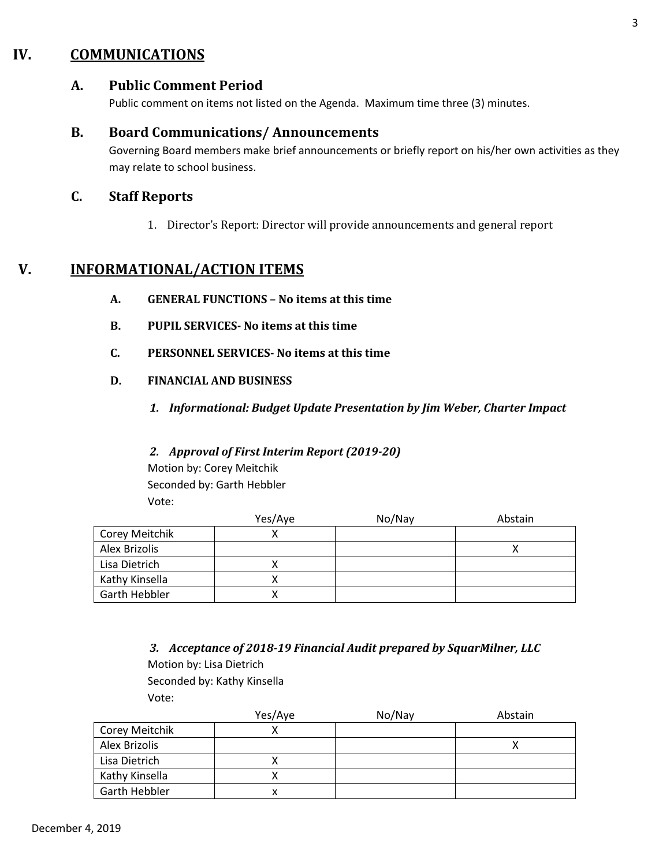## **IV. COMMUNICATIONS**

## **A. Public Comment Period**

Public comment on items not listed on the Agenda. Maximum time three (3) minutes.

#### **B. Board Communications/ Announcements**

Governing Board members make brief announcements or briefly report on his/her own activities as they may relate to school business.

### **C. Staff Reports**

1. Director's Report: Director will provide announcements and general report

## **V. INFORMATIONAL/ACTION ITEMS**

- **A. GENERAL FUNCTIONS – No items at this time**
- **B. PUPIL SERVICES- No items at this time**
- **C. PERSONNEL SERVICES- No items at this time**
- **D. FINANCIAL AND BUSINESS**
	- *1. Informational: Budget Update Presentation by Jim Weber, Charter Impact*

#### *2. Approval of First Interim Report (2019-20)*

Motion by: Corey Meitchik Seconded by: Garth Hebbler Vote:

|                | Yes/Aye | No/Nay | Abstain |
|----------------|---------|--------|---------|
| Corey Meitchik |         |        |         |
| Alex Brizolis  |         |        |         |
| Lisa Dietrich  |         |        |         |
| Kathy Kinsella |         |        |         |
| Garth Hebbler  |         |        |         |

*3. Acceptance of 2018-19 Financial Audit prepared by SquarMilner, LLC*

Motion by: Lisa Dietrich Seconded by: Kathy Kinsella Vote:

|                      | Yes/Aye | No/Nay | Abstain |
|----------------------|---------|--------|---------|
| Corey Meitchik       |         |        |         |
| Alex Brizolis        |         |        |         |
| Lisa Dietrich        |         |        |         |
| Kathy Kinsella       |         |        |         |
| <b>Garth Hebbler</b> | x       |        |         |